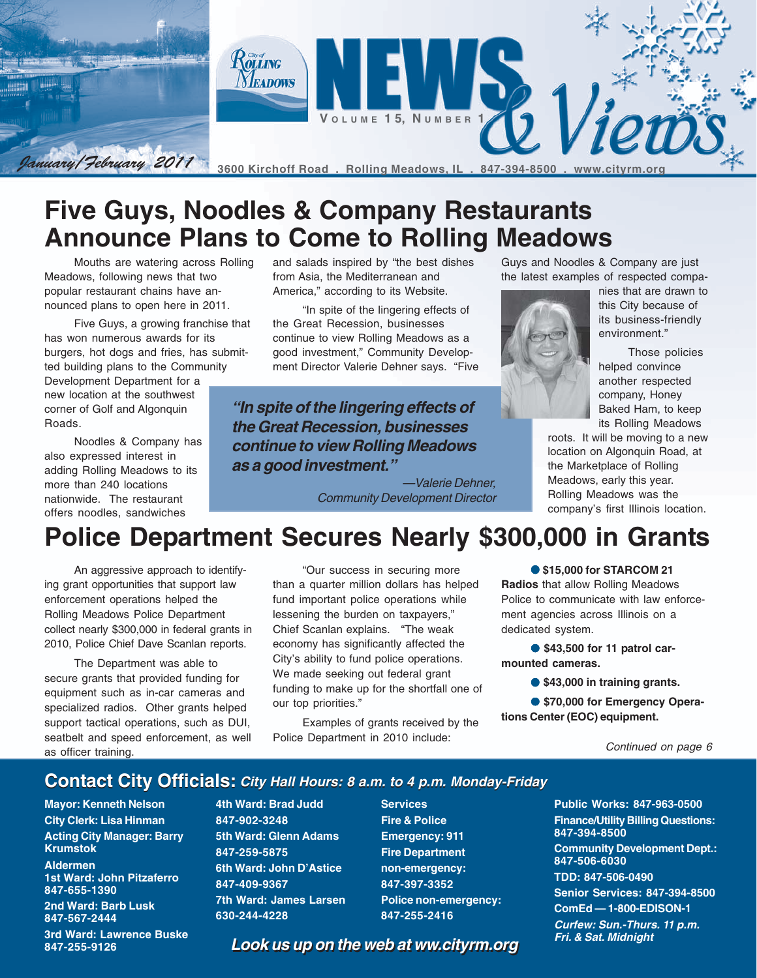

# **Five Guys, Noodles & Company Restaurants Announce Plans to Come to Rolling Meadows**

Mouths are watering across Rolling Meadows, following news that two popular restaurant chains have announced plans to open here in 2011.

Five Guys, a growing franchise that has won numerous awards for its burgers, hot dogs and fries, has submitted building plans to the Community

Development Department for a new location at the southwest corner of Golf and Algonquin Roads.

Noodles & Company has also expressed interest in adding Rolling Meadows to its more than 240 locations nationwide. The restaurant offers noodles, sandwiches

and salads inspired by "the best dishes from Asia, the Mediterranean and America," according to its Website.

"In spite of the lingering effects of the Great Recession, businesses continue to view Rolling Meadows as a good investment," Community Development Director Valerie Dehner says. "Five

**"In spite of the lingering effects of the Great Recession, businesses continue to view Rolling Meadows as a good investment."**

> —Valerie Dehner, Community Development Director

Guys and Noodles & Company are just the latest examples of respected compa-



nies that are drawn to this City because of its business-friendly environment."

Those policies helped convince another respected company, Honey Baked Ham, to keep its Rolling Meadows

roots. It will be moving to a new location on Algonquin Road, at the Marketplace of Rolling Meadows, early this year. Rolling Meadows was the company's first Illinois location.

# **Police Department Secures Nearly \$300,000 in Grants**

An aggressive approach to identifying grant opportunities that support law enforcement operations helped the Rolling Meadows Police Department collect nearly \$300,000 in federal grants in 2010, Police Chief Dave Scanlan reports.

The Department was able to secure grants that provided funding for equipment such as in-car cameras and specialized radios. Other grants helped support tactical operations, such as DUI, seatbelt and speed enforcement, as well as officer training.

"Our success in securing more than a quarter million dollars has helped fund important police operations while lessening the burden on taxpayers," Chief Scanlan explains. "The weak economy has significantly affected the City's ability to fund police operations. We made seeking out federal grant funding to make up for the shortfall one of our top priorities."

Examples of grants received by the Police Department in 2010 include:

#### ● **\$15,000 for STARCOM 21**

**Radios** that allow Rolling Meadows Police to communicate with law enforcement agencies across Illinois on a dedicated system.

● **\$43,500 for 11 patrol carmounted cameras.**

● **\$43,000 in training grants.**

● **\$70,000 for Emergency Operations Center (EOC) equipment.**

#### **Contact City Officials: City Hall Hours: 8 a.m. to 4 p.m. Monday-Friday**

**Mayor: Kenneth Nelson City Clerk: Lisa Hinman Acting City Manager: Barry Krumstok**

**Aldermen 1st Ward: John Pitzaferro 847-655-1390**

**2nd Ward: Barb Lusk 847-567-2444**

**3rd Ward: Lawrence Buske 847-255-9126**

**4th Ward: Brad Judd 847-902-3248 5th Ward: Glenn Adams 847-259-5875 6th Ward: John D'Astice 847-409-9367 7th Ward: James Larsen 630-244-4228**

**Services Fire & Police Emergency: 911 Fire Department non-emergency: 847-397-3352 Police non-emergency: 847-255-2416**

**Public Works: 847-963-0500 Finance/Utility Billing Questions: 847-394-8500**

**Community Development Dept.: 847-506-6030**

**TDD: 847-506-0490**

**Senior Services: 847-394-8500**

**ComEd — 1-800-EDISON-1**

**Curfew: Sun.-Thurs. 11 p.m. Fri. & Sat. Midnight**

**Look us up on the web at ww.cityrm.org Look us up on the web at ww.cityrm.org**

Continued on page 6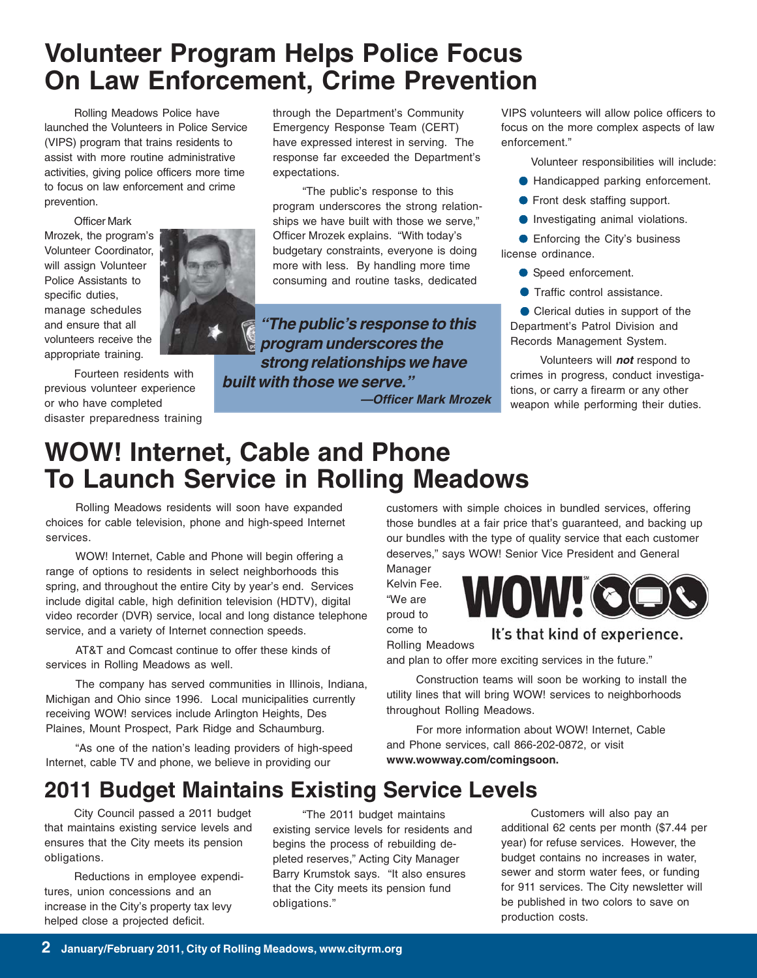# **Volunteer Program Helps Police Focus On Law Enforcement, Crime Prevention**

Rolling Meadows Police have launched the Volunteers in Police Service (VIPS) program that trains residents to assist with more routine administrative activities, giving police officers more time to focus on law enforcement and crime prevention.

Officer Mark Mrozek, the program's Volunteer Coordinator, will assign Volunteer Police Assistants to specific duties, manage schedules and ensure that all volunteers receive the appropriate training.

Fourteen residents with previous volunteer experience or who have completed disaster preparedness training



through the Department's Community Emergency Response Team (CERT) have expressed interest in serving. The response far exceeded the Department's expectations.

"The public's response to this program underscores the strong relationships we have built with those we serve," Officer Mrozek explains. "With today's budgetary constraints, everyone is doing more with less. By handling more time consuming and routine tasks, dedicated

**"The public's response to this program underscores the strong relationships we have built with those we serve."**

**—Officer Mark Mrozek**

VIPS volunteers will allow police officers to focus on the more complex aspects of law enforcement."

Volunteer responsibilities will include:

- Handicapped parking enforcement.
- Front desk staffing support.
- Investigating animal violations.

● Enforcing the City's business license ordinance.

- Speed enforcement.
- Traffic control assistance.

● Clerical duties in support of the Department's Patrol Division and Records Management System.

Volunteers will **not** respond to crimes in progress, conduct investigations, or carry a firearm or any other weapon while performing their duties.

# **WOW! Internet, Cable and Phone To Launch Service in Rolling Meadows**

Rolling Meadows residents will soon have expanded choices for cable television, phone and high-speed Internet services.

WOW! Internet, Cable and Phone will begin offering a range of options to residents in select neighborhoods this spring, and throughout the entire City by year's end. Services include digital cable, high definition television (HDTV), digital video recorder (DVR) service, local and long distance telephone service, and a variety of Internet connection speeds.

AT&T and Comcast continue to offer these kinds of services in Rolling Meadows as well.

The company has served communities in Illinois, Indiana, Michigan and Ohio since 1996. Local municipalities currently receiving WOW! services include Arlington Heights, Des Plaines, Mount Prospect, Park Ridge and Schaumburg.

"As one of the nation's leading providers of high-speed Internet, cable TV and phone, we believe in providing our

customers with simple choices in bundled services, offering those bundles at a fair price that's guaranteed, and backing up our bundles with the type of quality service that each customer deserves," says WOW! Senior Vice President and General Manager

Kelvin Fee. "We are proud to come to

Rolling Meadows



#### It's that kind of experience.

and plan to offer more exciting services in the future."

Construction teams will soon be working to install the utility lines that will bring WOW! services to neighborhoods throughout Rolling Meadows.

For more information about WOW! Internet, Cable and Phone services, call 866-202-0872, or visit **www.wowway.com/comingsoon.**

## **2011 Budget Maintains Existing Service Levels**

City Council passed a 2011 budget that maintains existing service levels and ensures that the City meets its pension obligations.

Reductions in employee expenditures, union concessions and an increase in the City's property tax levy helped close a projected deficit.

"The 2011 budget maintains existing service levels for residents and begins the process of rebuilding depleted reserves," Acting City Manager Barry Krumstok says. "It also ensures that the City meets its pension fund obligations."

Customers will also pay an additional 62 cents per month (\$7.44 per year) for refuse services. However, the budget contains no increases in water, sewer and storm water fees, or funding for 911 services. The City newsletter will be published in two colors to save on production costs.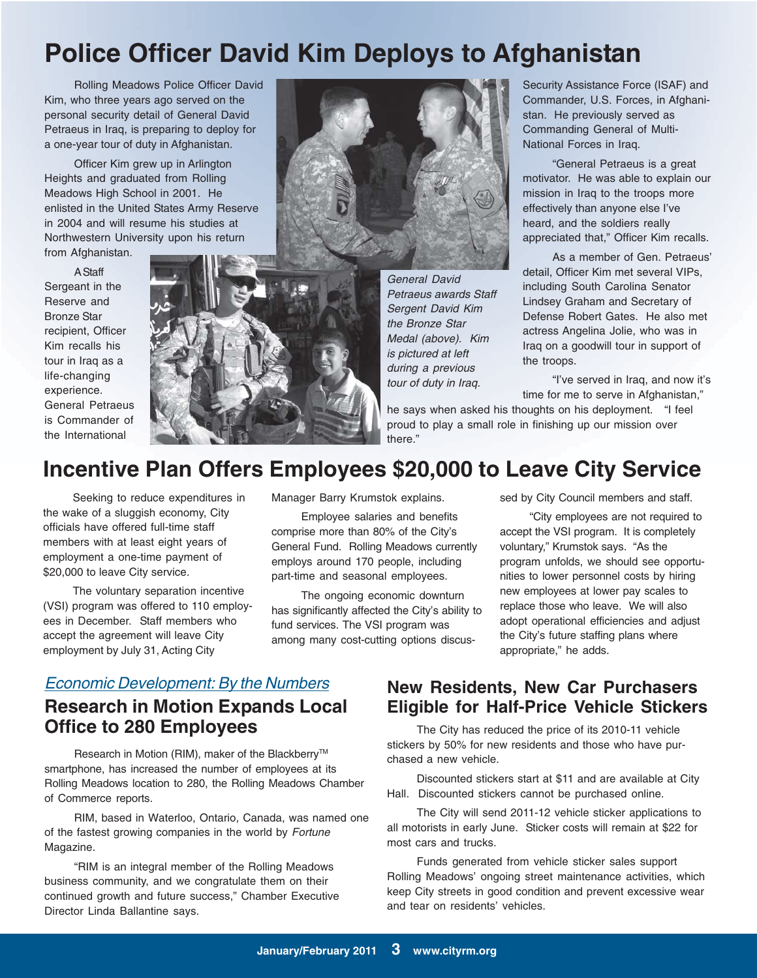# **Police Officer David Kim Deploys to Afghanistan**

Rolling Meadows Police Officer David Kim, who three years ago served on the personal security detail of General David Petraeus in Iraq, is preparing to deploy for a one-year tour of duty in Afghanistan.

Officer Kim grew up in Arlington Heights and graduated from Rolling Meadows High School in 2001. He enlisted in the United States Army Reserve in 2004 and will resume his studies at Northwestern University upon his return from Afghanistan.

A Staff Sergeant in the Reserve and Bronze Star recipient, Officer Kim recalls his tour in Iraq as a life-changing experience. General Petraeus is Commander of the International



General David Petraeus awards Staff Sergent David Kim the Bronze Star Medal (above). Kim is pictured at left during a previous tour of duty in Iraq.

Security Assistance Force (ISAF) and Commander, U.S. Forces, in Afghanistan. He previously served as Commanding General of Multi-National Forces in Iraq.

"General Petraeus is a great motivator. He was able to explain our mission in Iraq to the troops more effectively than anyone else I've heard, and the soldiers really appreciated that," Officer Kim recalls.

As a member of Gen. Petraeus' detail, Officer Kim met several VIPs, including South Carolina Senator Lindsey Graham and Secretary of Defense Robert Gates. He also met actress Angelina Jolie, who was in Iraq on a goodwill tour in support of the troops.

"I've served in Iraq, and now it's time for me to serve in Afghanistan,"

he says when asked his thoughts on his deployment. "I feel proud to play a small role in finishing up our mission over there."

### **Incentive Plan Offers Employees \$20,000 to Leave City Service**

Seeking to reduce expenditures in the wake of a sluggish economy, City officials have offered full-time staff members with at least eight years of employment a one-time payment of \$20,000 to leave City service.

The voluntary separation incentive (VSI) program was offered to 110 employees in December. Staff members who accept the agreement will leave City employment by July 31, Acting City

Manager Barry Krumstok explains.

Employee salaries and benefits comprise more than 80% of the City's General Fund. Rolling Meadows currently employs around 170 people, including part-time and seasonal employees.

The ongoing economic downturn has significantly affected the City's ability to fund services. The VSI program was among many cost-cutting options discussed by City Council members and staff.

"City employees are not required to accept the VSI program. It is completely voluntary," Krumstok says. "As the program unfolds, we should see opportunities to lower personnel costs by hiring new employees at lower pay scales to replace those who leave. We will also adopt operational efficiencies and adjust the City's future staffing plans where appropriate," he adds.

#### **Economic Development: By the Numbers Research in Motion Expands Local Office to 280 Employees**

Research in Motion (RIM), maker of the Blackberry<sup>™</sup> smartphone, has increased the number of employees at its Rolling Meadows location to 280, the Rolling Meadows Chamber of Commerce reports.

RIM, based in Waterloo, Ontario, Canada, was named one of the fastest growing companies in the world by Fortune Magazine.

"RIM is an integral member of the Rolling Meadows business community, and we congratulate them on their continued growth and future success," Chamber Executive Director Linda Ballantine says.

#### **New Residents, New Car Purchasers Eligible for Half-Price Vehicle Stickers**

The City has reduced the price of its 2010-11 vehicle stickers by 50% for new residents and those who have purchased a new vehicle.

Discounted stickers start at \$11 and are available at City Hall. Discounted stickers cannot be purchased online.

The City will send 2011-12 vehicle sticker applications to all motorists in early June. Sticker costs will remain at \$22 for most cars and trucks.

Funds generated from vehicle sticker sales support Rolling Meadows' ongoing street maintenance activities, which keep City streets in good condition and prevent excessive wear and tear on residents' vehicles.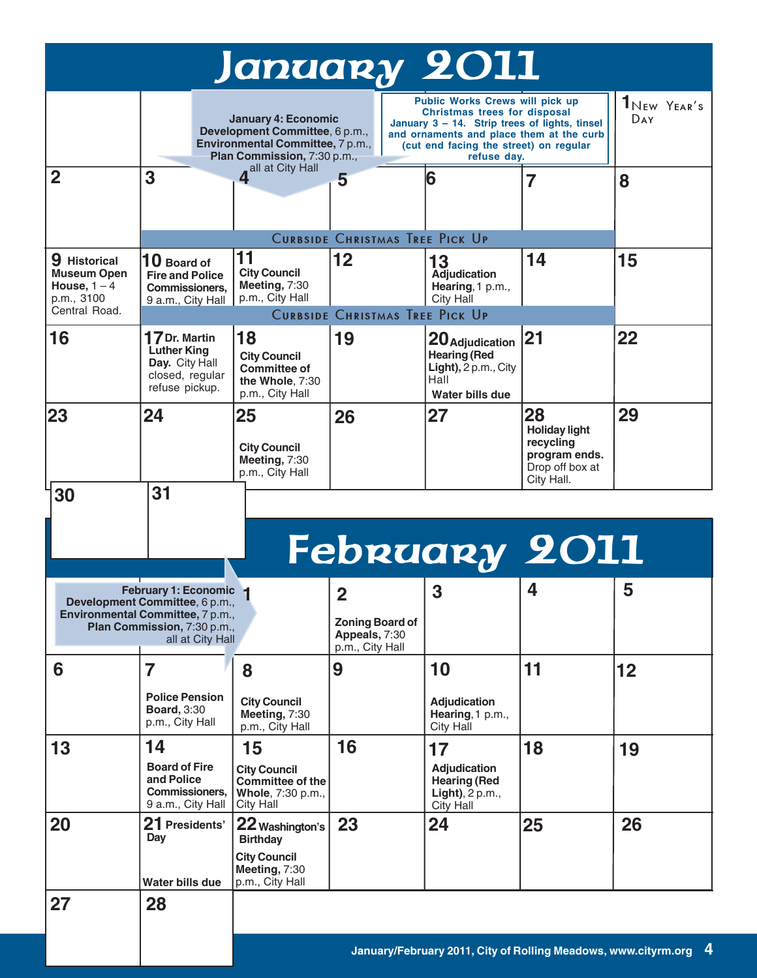| January 2011                                                                                                                                                                                                                                   |                                                                                            |                                                                                                                                                                                                                                                                                                                                                          |    |                                                                                           |                                                                                           |    |
|------------------------------------------------------------------------------------------------------------------------------------------------------------------------------------------------------------------------------------------------|--------------------------------------------------------------------------------------------|----------------------------------------------------------------------------------------------------------------------------------------------------------------------------------------------------------------------------------------------------------------------------------------------------------------------------------------------------------|----|-------------------------------------------------------------------------------------------|-------------------------------------------------------------------------------------------|----|
|                                                                                                                                                                                                                                                |                                                                                            | Public Works Crews will pick up<br>Christmas trees for disposal<br><b>January 4: Economic</b><br>January 3 - 14. Strip trees of lights, tinsel<br>Development Committee, 6 p.m.,<br>and ornaments and place them at the curb<br>Environmental Committee, 7 p.m.,<br>(cut end facing the street) on regular<br>Plan Commission, 7:30 p.m.,<br>refuse day. |    |                                                                                           | $1_{New}$ Year's<br>DAY                                                                   |    |
| $\overline{2}$                                                                                                                                                                                                                                 | 3                                                                                          | 4 <sup>all at City Hall</sup>                                                                                                                                                                                                                                                                                                                            | 5  | 6                                                                                         | 7                                                                                         | 8  |
| <b>CURBSIDE CHRISTMAS TREE PICK UP</b>                                                                                                                                                                                                         |                                                                                            |                                                                                                                                                                                                                                                                                                                                                          |    |                                                                                           |                                                                                           |    |
| 9 Historical<br><b>Museum Open</b><br>House, $1 - 4$<br>p.m., 3100                                                                                                                                                                             | $10$ Board of<br><b>Fire and Police</b><br><b>Commissioners.</b><br>9 a.m., City Hall      | 11<br><b>City Council</b><br>Meeting, 7:30<br>p.m., City Hall                                                                                                                                                                                                                                                                                            | 12 | 13<br><b>Adjudication</b><br>Hearing, 1 p.m.,<br>City Hall                                | 14                                                                                        | 15 |
| Central Road.<br><b>CURBSIDE CHRISTMAS TREE PICK UP</b>                                                                                                                                                                                        |                                                                                            |                                                                                                                                                                                                                                                                                                                                                          |    |                                                                                           |                                                                                           |    |
| 16                                                                                                                                                                                                                                             | 17 Dr. Martin<br><b>Luther King</b><br>Day. City Hall<br>closed, regular<br>refuse pickup. | 18<br><b>City Council</b><br><b>Committee of</b><br>the Whole, 7:30<br>p.m., City Hall                                                                                                                                                                                                                                                                   | 19 | 20 Adjudication<br><b>Hearing (Red</b><br>Light), 2 p.m., City<br>Hall<br>Water bills due | 21                                                                                        | 22 |
| 23                                                                                                                                                                                                                                             | 24                                                                                         | 25<br><b>City Council</b><br>Meeting, 7:30<br>p.m., City Hall                                                                                                                                                                                                                                                                                            | 26 | 27                                                                                        | 28<br><b>Holiday light</b><br>recycling<br>program ends.<br>Drop off box at<br>City Hall. | 29 |
| 30                                                                                                                                                                                                                                             | 31                                                                                         |                                                                                                                                                                                                                                                                                                                                                          |    |                                                                                           |                                                                                           |    |
| <b>February 2011</b>                                                                                                                                                                                                                           |                                                                                            |                                                                                                                                                                                                                                                                                                                                                          |    |                                                                                           |                                                                                           |    |
| 4<br>5<br>3<br>February 1: Economic 1<br>$\overline{2}$<br>Development Committee, 6 p.m.,<br>Environmental Committee, 7 p.m.,<br><b>Zoning Board of</b><br>Plan Commission, 7:30 p.m.,<br>Appeals, 7:30<br>all at City Hall<br>p.m., City Hall |                                                                                            |                                                                                                                                                                                                                                                                                                                                                          |    |                                                                                           |                                                                                           |    |
| 6                                                                                                                                                                                                                                              | 7                                                                                          | 8                                                                                                                                                                                                                                                                                                                                                        | 9  | 10                                                                                        | 11                                                                                        | 12 |
|                                                                                                                                                                                                                                                | <b>Police Pension</b><br><b>Board, 3:30</b><br>p.m., City Hall                             | <b>City Council</b><br>Meeting, 7:30<br>p.m., City Hall                                                                                                                                                                                                                                                                                                  |    | <b>Adjudication</b><br>Hearing, 1 p.m.,<br><b>City Hall</b>                               |                                                                                           |    |
| 13                                                                                                                                                                                                                                             | 14<br><b>Board of Fire</b><br>and Police<br><b>Commissioners.</b><br>9 a.m., City Hall     | 15<br><b>City Council</b><br>Committee of the<br>Whole, 7:30 p.m.,<br>City Hall                                                                                                                                                                                                                                                                          | 16 | 17<br><b>Adjudication</b><br><b>Hearing (Red</b><br>Light), $2 p.m.,$<br>City Hall        | 18                                                                                        | 19 |
| 20                                                                                                                                                                                                                                             | 21 Presidents'<br>Day                                                                      | 22 Washington's<br><b>Birthday</b>                                                                                                                                                                                                                                                                                                                       | 23 | 24                                                                                        | 25                                                                                        | 26 |
|                                                                                                                                                                                                                                                | <b>Water bills due</b>                                                                     | <b>City Council</b><br>Meeting, 7:30<br>p.m., City Hall                                                                                                                                                                                                                                                                                                  |    |                                                                                           |                                                                                           |    |
| 27                                                                                                                                                                                                                                             | 28                                                                                         |                                                                                                                                                                                                                                                                                                                                                          |    |                                                                                           |                                                                                           |    |
|                                                                                                                                                                                                                                                |                                                                                            | 4<br>January/February 2011, City of Rolling Meadows, www.cityrm.org                                                                                                                                                                                                                                                                                      |    |                                                                                           |                                                                                           |    |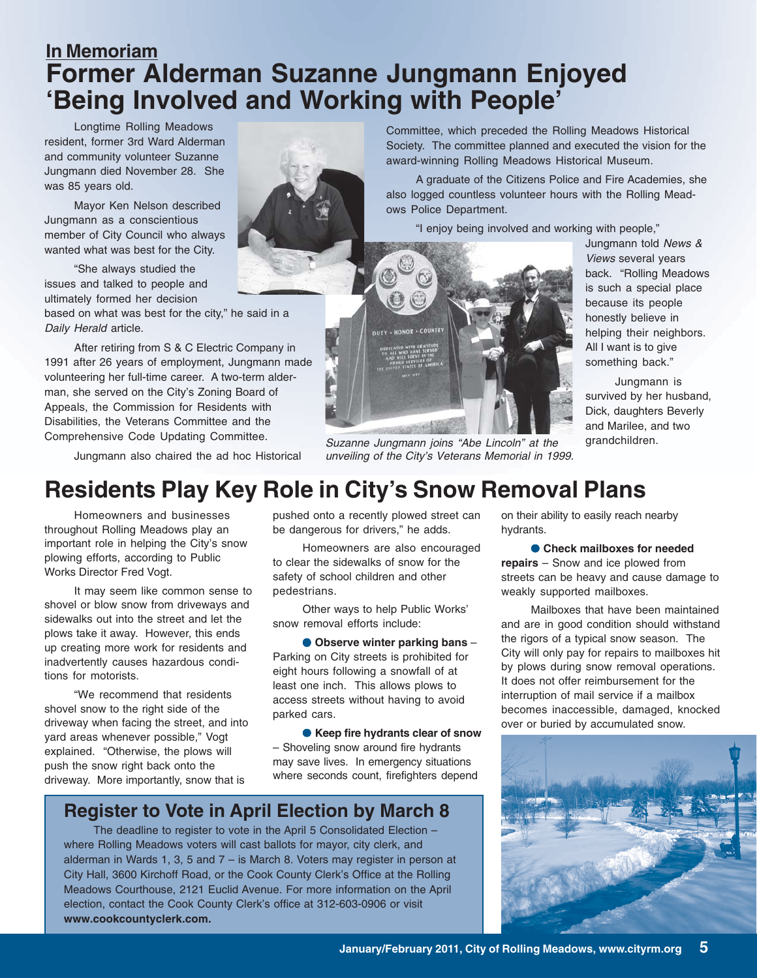## **In Memoriam Former Alderman Suzanne Jungmann Enjoyed 'Being Involved and Working with People'**

Longtime Rolling Meadows resident, former 3rd Ward Alderman and community volunteer Suzanne Jungmann died November 28. She was 85 years old.

Mayor Ken Nelson described Jungmann as a conscientious member of City Council who always wanted what was best for the City.

"She always studied the issues and talked to people and ultimately formed her decision

based on what was best for the city," he said in a Daily Herald article.

After retiring from S & C Electric Company in 1991 after 26 years of employment, Jungmann made volunteering her full-time career. A two-term alderman, she served on the City's Zoning Board of Appeals, the Commission for Residents with Disabilities, the Veterans Committee and the Comprehensive Code Updating Committee.

Jungmann also chaired the ad hoc Historical

Committee, which preceded the Rolling Meadows Historical Society. The committee planned and executed the vision for the award-winning Rolling Meadows Historical Museum.

A graduate of the Citizens Police and Fire Academies, she also logged countless volunteer hours with the Rolling Meadows Police Department.

"I enjoy being involved and working with people,"



Suzanne Jungmann joins "Abe Lincoln" at the unveiling of the City's Veterans Memorial in 1999.

Jungmann told News & Views several years back. "Rolling Meadows is such a special place because its people honestly believe in helping their neighbors. All I want is to give something back."

Jungmann is survived by her husband, Dick, daughters Beverly and Marilee, and two grandchildren.

## **Residents Play Key Role in City's Snow Removal Plans**

Homeowners and businesses throughout Rolling Meadows play an important role in helping the City's snow plowing efforts, according to Public Works Director Fred Vogt.

It may seem like common sense to shovel or blow snow from driveways and sidewalks out into the street and let the plows take it away. However, this ends up creating more work for residents and inadvertently causes hazardous conditions for motorists.

"We recommend that residents shovel snow to the right side of the driveway when facing the street, and into yard areas whenever possible," Vogt explained. "Otherwise, the plows will push the snow right back onto the driveway. More importantly, snow that is

pushed onto a recently plowed street can be dangerous for drivers," he adds.

Homeowners are also encouraged to clear the sidewalks of snow for the safety of school children and other pedestrians.

Other ways to help Public Works' snow removal efforts include:

● **Observe winter parking bans** – Parking on City streets is prohibited for eight hours following a snowfall of at least one inch. This allows plows to access streets without having to avoid parked cars.

● **Keep fire hydrants clear of snow** – Shoveling snow around fire hydrants may save lives. In emergency situations where seconds count, firefighters depend

#### **Register to Vote in April Election by March 8**

The deadline to register to vote in the April 5 Consolidated Election – where Rolling Meadows voters will cast ballots for mayor, city clerk, and alderman in Wards 1, 3, 5 and 7 – is March 8. Voters may register in person at City Hall, 3600 Kirchoff Road, or the Cook County Clerk's Office at the Rolling Meadows Courthouse, 2121 Euclid Avenue. For more information on the April election, contact the Cook County Clerk's office at 312-603-0906 or visit **www.cookcountyclerk.com.**

on their ability to easily reach nearby hydrants.

● **Check mailboxes for needed repairs** – Snow and ice plowed from streets can be heavy and cause damage to weakly supported mailboxes.

Mailboxes that have been maintained and are in good condition should withstand the rigors of a typical snow season. The City will only pay for repairs to mailboxes hit by plows during snow removal operations. It does not offer reimbursement for the interruption of mail service if a mailbox becomes inaccessible, damaged, knocked over or buried by accumulated snow.